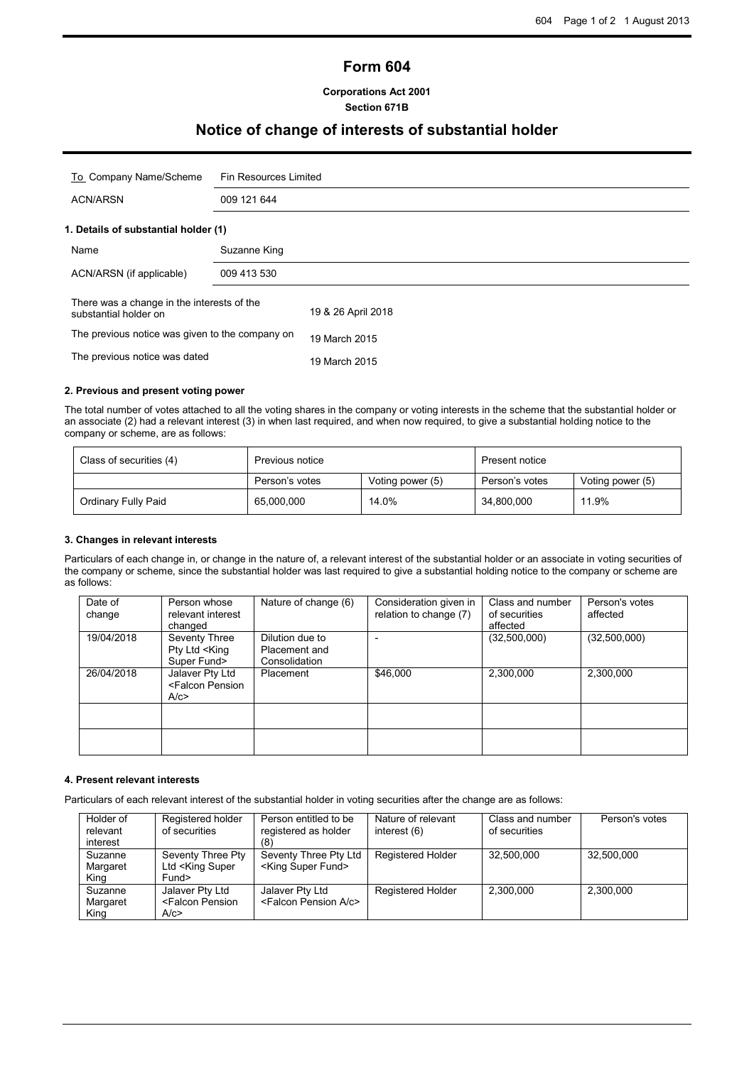# **Form 604**

## **Corporations Act 2001 Section 671B**

## **Notice of change of interests of substantial holder**

| To Company Name/Scheme                                              | Fin Resources Limited |                    |  |  |
|---------------------------------------------------------------------|-----------------------|--------------------|--|--|
| <b>ACN/ARSN</b>                                                     | 009 121 644           |                    |  |  |
| 1. Details of substantial holder (1)                                |                       |                    |  |  |
| Name                                                                | Suzanne King          |                    |  |  |
| ACN/ARSN (if applicable)                                            | 009 413 530           |                    |  |  |
| There was a change in the interests of the<br>substantial holder on |                       | 19 & 26 April 2018 |  |  |
| The previous notice was given to the company on                     |                       | 19 March 2015      |  |  |
| The previous notice was dated                                       |                       | 19 March 2015      |  |  |

### **2. Previous and present voting power**

The total number of votes attached to all the voting shares in the company or voting interests in the scheme that the substantial holder or an associate (2) had a relevant interest (3) in when last required, and when now required, to give a substantial holding notice to the company or scheme, are as follows:

| Class of securities (4) | Previous notice |                  | Present notice |                  |
|-------------------------|-----------------|------------------|----------------|------------------|
|                         | Person's votes  | Voting power (5) | Person's votes | Voting power (5) |
| Ordinary Fully Paid     | 65,000,000      | 14.0%            | 34,800,000     | 11.9%            |

## **3. Changes in relevant interests**

Particulars of each change in, or change in the nature of, a relevant interest of the substantial holder or an associate in voting securities of the company or scheme, since the substantial holder was last required to give a substantial holding notice to the company or scheme are as follows:

| Date of<br>change | Person whose<br>relevant interest<br>changed               | Nature of change (6)                              | Consideration given in<br>relation to change (7) | Class and number<br>of securities<br>affected | Person's votes<br>affected |
|-------------------|------------------------------------------------------------|---------------------------------------------------|--------------------------------------------------|-----------------------------------------------|----------------------------|
| 19/04/2018        | Seventy Three<br>Pty Ltd <king<br>Super Fund&gt;</king<br> | Dilution due to<br>Placement and<br>Consolidation |                                                  | (32,500,000)                                  | (32,500,000)               |
| 26/04/2018        | Jalaver Pty Ltd<br><falcon pension<br="">A/c</falcon>      | Placement                                         | \$46,000                                         | 2,300,000                                     | 2,300,000                  |
|                   |                                                            |                                                   |                                                  |                                               |                            |
|                   |                                                            |                                                   |                                                  |                                               |                            |

## **4. Present relevant interests**

Particulars of each relevant interest of the substantial holder in voting securities after the change are as follows:

| Holder of | Registered holder                                                                                             | Person entitled to be                  | Nature of relevant       | Class and number | Person's votes |
|-----------|---------------------------------------------------------------------------------------------------------------|----------------------------------------|--------------------------|------------------|----------------|
| relevant  | of securities                                                                                                 | registered as holder                   | interest (6)             | of securities    |                |
| interest  |                                                                                                               |                                        |                          |                  |                |
| Suzanne   | Seventy Three Pty                                                                                             | Seventy Three Pty Ltd                  | <b>Registered Holder</b> | 32.500.000       | 32.500.000     |
| Margaret  | Ltd <king super<="" td=""><td><king fund="" super=""></king></td><td></td><td></td><td></td></king>           | <king fund="" super=""></king>         |                          |                  |                |
| King      | Fund>                                                                                                         |                                        |                          |                  |                |
| Suzanne   | Jalaver Pty Ltd                                                                                               | Jalaver Pty Ltd                        | Registered Holder        | 2,300,000        | 2.300.000      |
| Margaret  | <falcon pension<="" td=""><td><falcon a="" c="" pension=""></falcon></td><td></td><td></td><td></td></falcon> | <falcon a="" c="" pension=""></falcon> |                          |                  |                |
| King      | A/c>                                                                                                          |                                        |                          |                  |                |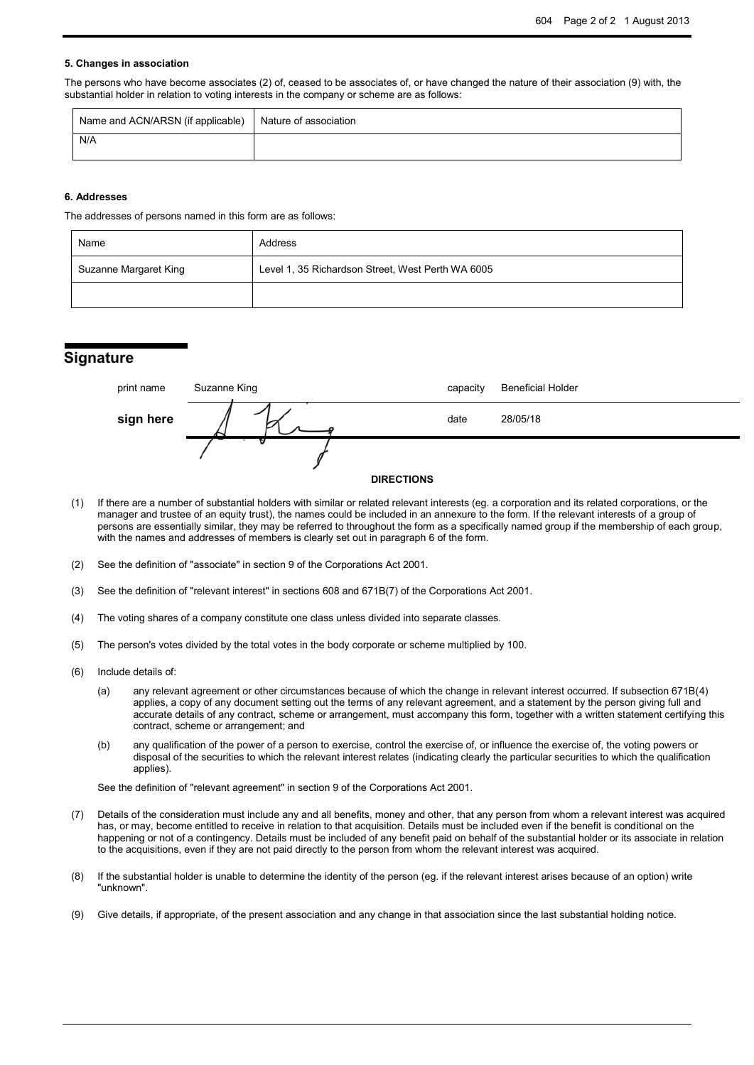### **5. Changes in association**

The persons who have become associates (2) of, ceased to be associates of, or have changed the nature of their association (9) with, the substantial holder in relation to voting interests in the company or scheme are as follows:

| Name and ACN/ARSN (if applicable)   Nature of association |  |
|-----------------------------------------------------------|--|
| N/A                                                       |  |

#### **6. Addresses**

The addresses of persons named in this form are as follows:

| Name                  | Address                                           |  |  |
|-----------------------|---------------------------------------------------|--|--|
| Suzanne Margaret King | Level 1, 35 Richardson Street, West Perth WA 6005 |  |  |
|                       |                                                   |  |  |

## **Signature**

| print name | Suzanne King      | capacity | <b>Beneficial Holder</b> |
|------------|-------------------|----------|--------------------------|
| sign here  |                   | date     | 28/05/18                 |
|            | <b>DIRECTIONS</b> |          |                          |

- (1) If there are a number of substantial holders with similar or related relevant interests (eg. a corporation and its related corporations, or the manager and trustee of an equity trust), the names could be included in an annexure to the form. If the relevant interests of a group of persons are essentially similar, they may be referred to throughout the form as a specifically named group if the membership of each group, with the names and addresses of members is clearly set out in paragraph 6 of the form.
- (2) See the definition of "associate" in section 9 of the Corporations Act 2001.
- (3) See the definition of "relevant interest" in sections 608 and 671B(7) of the Corporations Act 2001.
- (4) The voting shares of a company constitute one class unless divided into separate classes.
- (5) The person's votes divided by the total votes in the body corporate or scheme multiplied by 100.
- (6) Include details of:
	- (a) any relevant agreement or other circumstances because of which the change in relevant interest occurred. If subsection 671B(4) applies, a copy of any document setting out the terms of any relevant agreement, and a statement by the person giving full and accurate details of any contract, scheme or arrangement, must accompany this form, together with a written statement certifying this contract, scheme or arrangement; and
	- (b) any qualification of the power of a person to exercise, control the exercise of, or influence the exercise of, the voting powers or disposal of the securities to which the relevant interest relates (indicating clearly the particular securities to which the qualification applies).

See the definition of "relevant agreement" in section 9 of the Corporations Act 2001.

- (7) Details of the consideration must include any and all benefits, money and other, that any person from whom a relevant interest was acquired has, or may, become entitled to receive in relation to that acquisition. Details must be included even if the benefit is conditional on the happening or not of a contingency. Details must be included of any benefit paid on behalf of the substantial holder or its associate in relation to the acquisitions, even if they are not paid directly to the person from whom the relevant interest was acquired.
- (8) If the substantial holder is unable to determine the identity of the person (eg. if the relevant interest arises because of an option) write "unknown".
- (9) Give details, if appropriate, of the present association and any change in that association since the last substantial holding notice.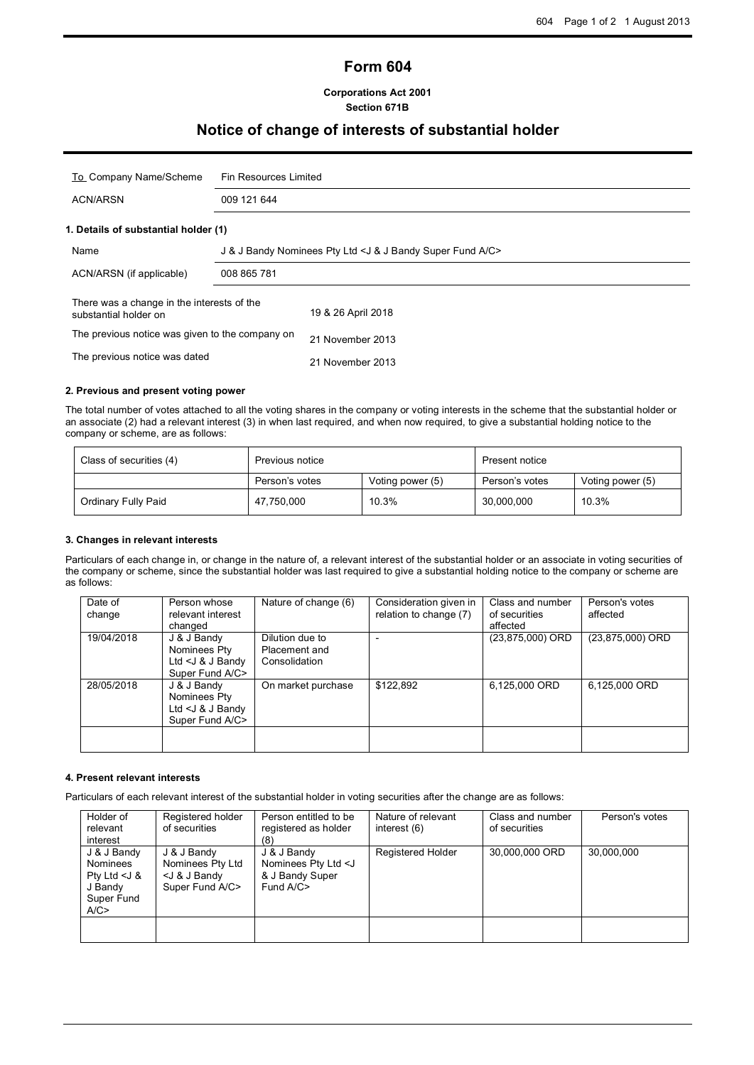# **Form 604**

## **Corporations Act 2001 Section 671B**

## **Notice of change of interests of substantial holder**

| To Company Name/Scheme                                              | Fin Resources Limited                                      |                    |  |  |  |
|---------------------------------------------------------------------|------------------------------------------------------------|--------------------|--|--|--|
| <b>ACN/ARSN</b>                                                     | 009 121 644                                                |                    |  |  |  |
| 1. Details of substantial holder (1)                                |                                                            |                    |  |  |  |
| Name                                                                | J & J Bandy Nominees Pty Ltd < J & J Bandy Super Fund A/C> |                    |  |  |  |
| ACN/ARSN (if applicable)                                            | 008 865 781                                                |                    |  |  |  |
| There was a change in the interests of the<br>substantial holder on |                                                            | 19 & 26 April 2018 |  |  |  |
| The previous notice was given to the company on                     |                                                            | 21 November 2013   |  |  |  |
| The previous notice was dated                                       |                                                            | 21 November 2013   |  |  |  |

## **2. Previous and present voting power**

The total number of votes attached to all the voting shares in the company or voting interests in the scheme that the substantial holder or an associate (2) had a relevant interest (3) in when last required, and when now required, to give a substantial holding notice to the company or scheme, are as follows:

| Class of securities (4) | Previous notice |                  | Present notice |                  |
|-------------------------|-----------------|------------------|----------------|------------------|
|                         | Person's votes  | Voting power (5) | Person's votes | Voting power (5) |
| Ordinary Fully Paid     | 47,750,000      | 10.3%            | 30,000,000     | 10.3%            |

### **3. Changes in relevant interests**

Particulars of each change in, or change in the nature of, a relevant interest of the substantial holder or an associate in voting securities of the company or scheme, since the substantial holder was last required to give a substantial holding notice to the company or scheme are as follows:

| Date of<br>change | Person whose<br>relevant interest<br>changed                          | Nature of change (6)                              | Consideration given in<br>relation to change (7) | Class and number<br>of securities<br>affected | Person's votes<br>affected |
|-------------------|-----------------------------------------------------------------------|---------------------------------------------------|--------------------------------------------------|-----------------------------------------------|----------------------------|
| 19/04/2018        | J & J Bandy<br>Nominees Pty<br>Ltd $<$ J & J Bandy<br>Super Fund A/C> | Dilution due to<br>Placement and<br>Consolidation |                                                  | (23,875,000) ORD                              | (23,875,000) ORD           |
| 28/05/2018        | J & J Bandy<br>Nominees Pty<br>Ltd $<$ J & J Bandy<br>Super Fund A/C> | On market purchase                                | \$122,892                                        | 6,125,000 ORD                                 | 6,125,000 ORD              |
|                   |                                                                       |                                                   |                                                  |                                               |                            |

## **4. Present relevant interests**

Particulars of each relevant interest of the substantial holder in voting securities after the change are as follows:

| Holder of<br>relevant<br>interest                                          | Registered holder<br>of securities                                                 | Person entitled to be<br>registered as holder<br>(8)                              | Nature of relevant<br>interest (6) | Class and number<br>of securities | Person's votes |
|----------------------------------------------------------------------------|------------------------------------------------------------------------------------|-----------------------------------------------------------------------------------|------------------------------------|-----------------------------------|----------------|
| J & J Bandy<br>Nominees<br>Pty Ltd $<$ J &<br>J Bandy<br>Super Fund<br>A/C | J & J Bandy<br>Nominees Pty Ltd<br><j &="" bandy<br="" j="">Super Fund A/C&gt;</j> | J & J Bandy<br>Nominees Pty Ltd <j<br>&amp; J Bandy Super<br/>Fund A/C&gt;</j<br> | <b>Registered Holder</b>           | 30,000,000 ORD                    | 30.000.000     |
|                                                                            |                                                                                    |                                                                                   |                                    |                                   |                |